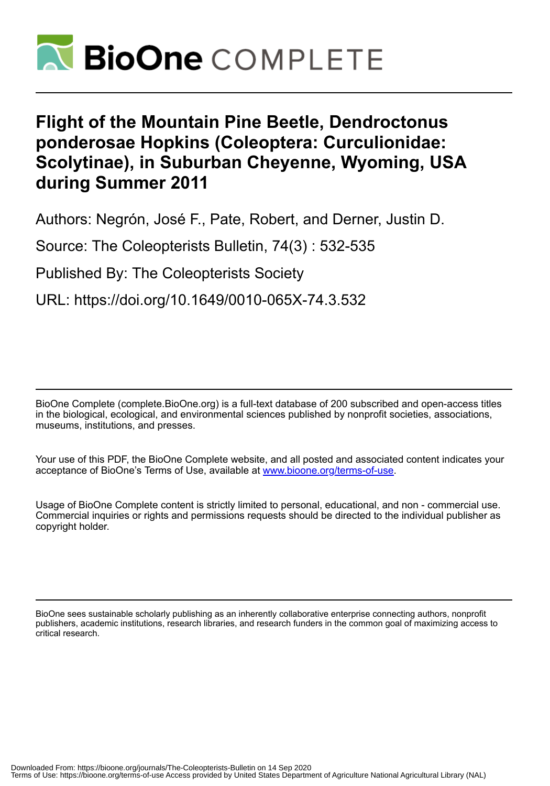

# **Flight of the Mountain Pine Beetle, Dendroctonus ponderosae Hopkins (Coleoptera: Curculionidae: Scolytinae), in Suburban Cheyenne, Wyoming, USA during Summer 2011**

Authors: Negrón, José F., Pate, Robert, and Derner, Justin D.

Source: The Coleopterists Bulletin, 74(3) : 532-535

Published By: The Coleopterists Society

URL: https://doi.org/10.1649/0010-065X-74.3.532

BioOne Complete (complete.BioOne.org) is a full-text database of 200 subscribed and open-access titles in the biological, ecological, and environmental sciences published by nonprofit societies, associations, museums, institutions, and presses.

Your use of this PDF, the BioOne Complete website, and all posted and associated content indicates your acceptance of BioOne's Terms of Use, available at www.bioone.org/terms-of-use.

Usage of BioOne Complete content is strictly limited to personal, educational, and non - commercial use. Commercial inquiries or rights and permissions requests should be directed to the individual publisher as copyright holder.

BioOne sees sustainable scholarly publishing as an inherently collaborative enterprise connecting authors, nonprofit publishers, academic institutions, research libraries, and research funders in the common goal of maximizing access to critical research.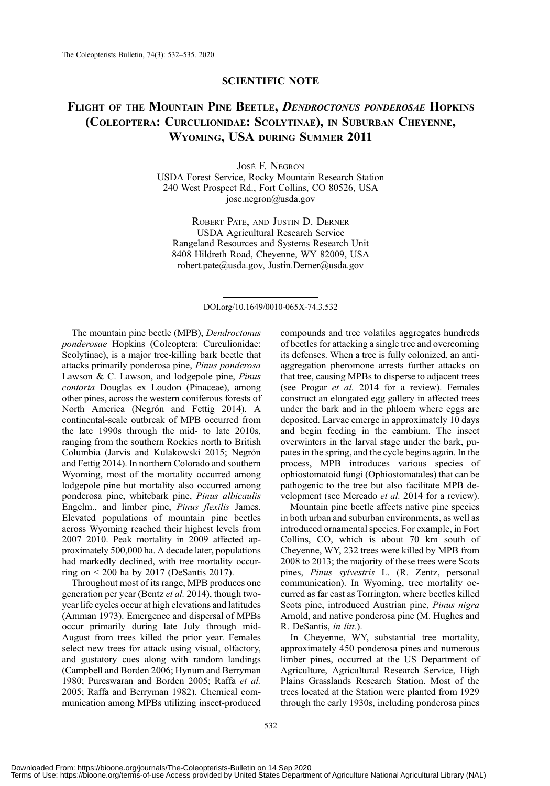## SCIENTIFIC NOTE

## FLIGHT OF THE MOUNTAIN PINE BEETLE, DENDROCTONUS PONDEROSAE HOPKINS (COLEOPTERA: CURCULIONIDAE: SCOLYTINAE), IN SUBURBAN CHEYENNE, WYOMING, USA DURING SUMMER 2011

JOSÉ F. NEGRÓN USDA Forest Service, Rocky Mountain Research Station 240 West Prospect Rd., Fort Collins, CO 80526, USA [jose.negron@usda.gov](mailto:jose.negron@usda.gov)

ROBERT PATE, AND JUSTIN D. DERNER USDA Agricultural Research Service Rangeland Resources and Systems Research Unit 8408 Hildreth Road, Cheyenne, WY 82009, USA [robert.pate@usda.gov,](mailto:robert.pate@usda.gov) [Justin.Derner@usda.gov](mailto:Justin.Derner@usda.gov)

DOI.org/10.1649/0010-065X-74.3.532

The mountain pine beetle (MPB), Dendroctonus ponderosae Hopkins (Coleoptera: Curculionidae: Scolytinae), is a major tree-killing bark beetle that attacks primarily ponderosa pine, Pinus ponderosa Lawson & C. Lawson, and lodgepole pine, Pinus contorta Douglas ex Loudon (Pinaceae), among other pines, across the western coniferous forests of North America (Negrón and Fettig 2014). A continental-scale outbreak of MPB occurred from the late 1990s through the mid- to late 2010s, ranging from the southern Rockies north to British Columbia (Jarvis and Kulakowski 2015; Negrón and Fettig 2014). In northern Colorado and southern Wyoming, most of the mortality occurred among lodgepole pine but mortality also occurred among ponderosa pine, whitebark pine, Pinus albicaulis Engelm., and limber pine, Pinus flexilis James. Elevated populations of mountain pine beetles across Wyoming reached their highest levels from 2007–2010. Peak mortality in 2009 affected approximately 500,000 ha. A decade later, populations had markedly declined, with tree mortality occurring on < 200 ha by 2017 (DeSantis 2017).

Throughout most of its range, MPB produces one generation per year (Bentz et al. 2014), though twoyear life cycles occur at high elevations and latitudes (Amman 1973). Emergence and dispersal of MPBs occur primarily during late July through mid-August from trees killed the prior year. Females select new trees for attack using visual, olfactory, and gustatory cues along with random landings (Campbell and Borden 2006; Hynum and Berryman 1980; Pureswaran and Borden 2005; Raffa et al. 2005; Raffa and Berryman 1982). Chemical communication among MPBs utilizing insect-produced compounds and tree volatiles aggregates hundreds of beetles for attacking a single tree and overcoming its defenses. When a tree is fully colonized, an antiaggregation pheromone arrests further attacks on that tree, causing MPBs to disperse to adjacent trees (see Progar et al. 2014 for a review). Females construct an elongated egg gallery in affected trees under the bark and in the phloem where eggs are deposited. Larvae emerge in approximately 10 days and begin feeding in the cambium. The insect overwinters in the larval stage under the bark, pupates in the spring, and the cycle begins again. In the process, MPB introduces various species of ophiostomatoid fungi (Ophiostomatales) that can be pathogenic to the tree but also facilitate MPB development (see Mercado et al. 2014 for a review).

Mountain pine beetle affects native pine species in both urban and suburban environments, as well as introduced ornamental species. For example, in Fort Collins, CO, which is about 70 km south of Cheyenne, WY, 232 trees were killed by MPB from 2008 to 2013; the majority of these trees were Scots pines, Pinus sylvestris L. (R. Zentz, personal communication). In Wyoming, tree mortality occurred as far east as Torrington, where beetles killed Scots pine, introduced Austrian pine, Pinus nigra Arnold, and native ponderosa pine (M. Hughes and R. DeSantis, in litt.).

In Cheyenne, WY, substantial tree mortality, approximately 450 ponderosa pines and numerous limber pines, occurred at the US Department of Agriculture, Agricultural Research Service, High Plains Grasslands Research Station. Most of the trees located at the Station were planted from 1929 through the early 1930s, including ponderosa pines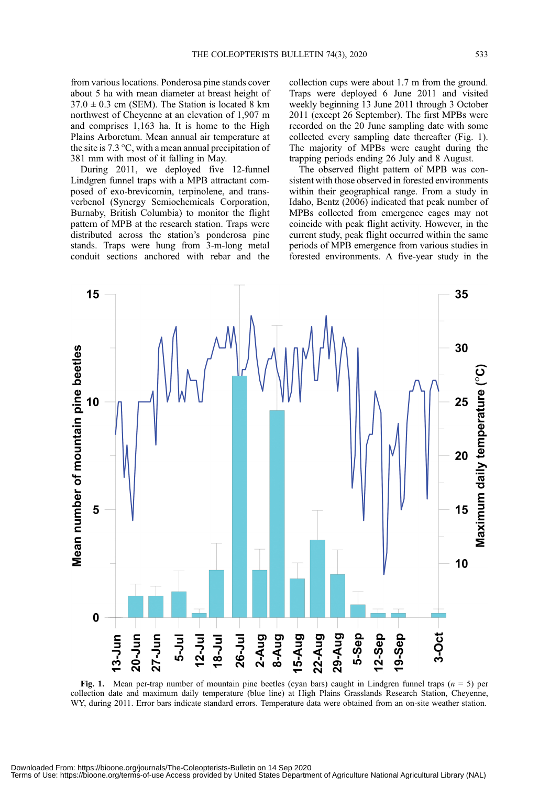from various locations. Ponderosa pine stands cover about 5 ha with mean diameter at breast height of  $37.0 \pm 0.3$  cm (SEM). The Station is located 8 km northwest of Cheyenne at an elevation of 1,907 m and comprises 1,163 ha. It is home to the High Plains Arboretum. Mean annual air temperature at the site is 7.3 °C, with a mean annual precipitation of 381 mm with most of it falling in May.

During 2011, we deployed five 12-funnel Lindgren funnel traps with a MPB attractant composed of exo-brevicomin, terpinolene, and transverbenol (Synergy Semiochemicals Corporation, Burnaby, British Columbia) to monitor the flight pattern of MPB at the research station. Traps were distributed across the station's ponderosa pine stands. Traps were hung from 3-m-long metal conduit sections anchored with rebar and the collection cups were about 1.7 m from the ground. Traps were deployed 6 June 2011 and visited weekly beginning 13 June 2011 through 3 October 2011 (except 26 September). The first MPBs were recorded on the 20 June sampling date with some collected every sampling date thereafter (Fig. 1). The majority of MPBs were caught during the trapping periods ending 26 July and 8 August.

The observed flight pattern of MPB was consistent with those observed in forested environments within their geographical range. From a study in Idaho, Bentz (2006) indicated that peak number of MPBs collected from emergence cages may not coincide with peak flight activity. However, in the current study, peak flight occurred within the same periods of MPB emergence from various studies in forested environments. A five-year study in the



Fig. 1. Mean per-trap number of mountain pine beetles (cyan bars) caught in Lindgren funnel traps  $(n = 5)$  per collection date and maximum daily temperature (blue line) at High Plains Grasslands Research Station, Cheyenne, WY, during 2011. Error bars indicate standard errors. Temperature data were obtained from an on-site weather station.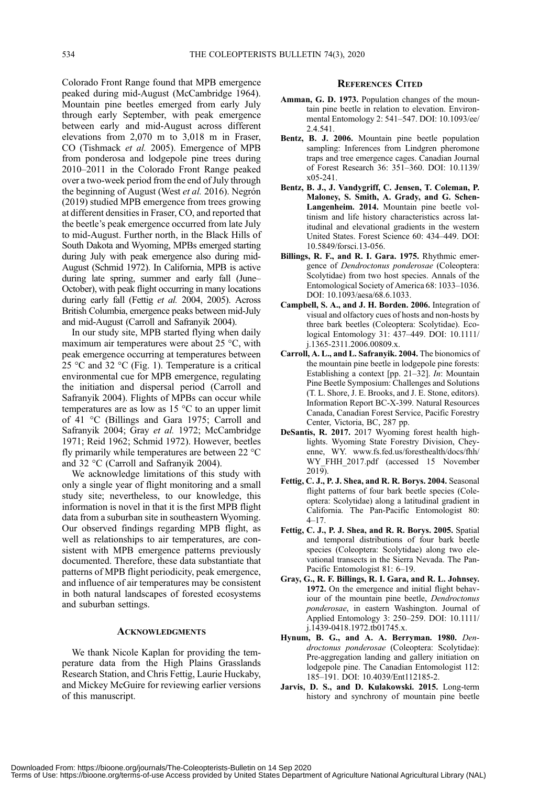Colorado Front Range found that MPB emergence peaked during mid-August (McCambridge 1964). Mountain pine beetles emerged from early July through early September, with peak emergence between early and mid-August across different elevations from 2,070 m to 3,018 m in Fraser, CO (Tishmack et al. 2005). Emergence of MPB from ponderosa and lodgepole pine trees during 2010–2011 in the Colorado Front Range peaked over a two-week period from the end of July through the beginning of August (West et al. 2016). Negrón (2019) studied MPB emergence from trees growing at different densities in Fraser, CO, and reported that the beetle's peak emergence occurred from late July to mid-August. Further north, in the Black Hills of South Dakota and Wyoming, MPBs emerged starting during July with peak emergence also during mid-August (Schmid 1972). In California, MPB is active during late spring, summer and early fall (June– October), with peak flight occurring in many locations during early fall (Fettig et al. 2004, 2005). Across British Columbia, emergence peaks between mid-July and mid-August (Carroll and Safranyik 2004).

In our study site, MPB started flying when daily maximum air temperatures were about 25 °C, with peak emergence occurring at temperatures between 25 °C and 32 °C (Fig. 1). Temperature is a critical environmental cue for MPB emergence, regulating the initiation and dispersal period (Carroll and Safranyik 2004). Flights of MPBs can occur while temperatures are as low as 15 °C to an upper limit of 41 °C (Billings and Gara 1975; Carroll and Safranyik 2004; Gray et al. 1972; McCambridge 1971; Reid 1962; Schmid 1972). However, beetles fly primarily while temperatures are between 22 °C and 32 °C (Carroll and Safranyik 2004).

We acknowledge limitations of this study with only a single year of flight monitoring and a small study site; nevertheless, to our knowledge, this information is novel in that it is the first MPB flight data from a suburban site in southeastern Wyoming. Our observed findings regarding MPB flight, as well as relationships to air temperatures, are consistent with MPB emergence patterns previously documented. Therefore, these data substantiate that patterns of MPB flight periodicity, peak emergence, and influence of air temperatures may be consistent in both natural landscapes of forested ecosystems and suburban settings.

### ACKNOWLEDGMENTS

We thank Nicole Kaplan for providing the temperature data from the High Plains Grasslands Research Station, and Chris Fettig, Laurie Huckaby, and Mickey McGuire for reviewing earlier versions of this manuscript.

#### REFERENCES CITED

- Amman, G. D. 1973. Population changes of the mountain pine beetle in relation to elevation. Environmental Entomology 2: 541–547. [DOI: 10.1093/ee/](doi:%2010.1093/ee/2.4.541) [2.4.541.](doi:%2010.1093/ee/2.4.541)
- Bentz, B. J. 2006. Mountain pine beetle population sampling: Inferences from Lindgren pheromone traps and tree emergence cages. Canadian Journal of Forest Research 36: 351–360. [DOI: 10.1139/](doi:%2010.1139/x05-241) [x05-241](doi:%2010.1139/x05-241).
- Bentz, B. J., J. Vandygriff, C. Jensen, T. Coleman, P. Maloney, S. Smith, A. Grady, and G. Schen-Langenheim. 2014. Mountain pine beetle voltinism and life history characteristics across latitudinal and elevational gradients in the western United States. Forest Science 60: 434–449. [DOI:](doi:%2010.5849/forsci.13-056) [10.5849/forsci.13-056](doi:%2010.5849/forsci.13-056).
- Billings, R. F., and R. I. Gara. 1975. Rhythmic emergence of Dendroctonus ponderosae (Coleoptera: Scolytidae) from two host species. Annals of the Entomological Society of America 68: 1033–1036. [DOI: 10.1093/aesa/68.6.1033](doi:%2010.1093/aesa/68.6.1033).
- Campbell, S. A., and J. H. Borden. 2006. Integration of visual and olfactory cues of hosts and non-hosts by three bark beetles (Coleoptera: Scolytidae). Ecological Entomology 31: 437–449. [DOI: 10.1111/](doi:%2010.1111/j.1365-2311.2006.00809.x) [j.1365-2311.2006.00809.x.](doi:%2010.1111/j.1365-2311.2006.00809.x)
- Carroll, A. L., and L. Safranyik. 2004. The bionomics of the mountain pine beetle in lodgepole pine forests: Establishing a context [pp. 21–32]. In: Mountain Pine Beetle Symposium: Challenges and Solutions (T. L. Shore, J. E. Brooks, and J. E. Stone, editors). Information Report BC-X-399. Natural Resources Canada, Canadian Forest Service, Pacific Forestry Center, Victoria, BC, 287 pp.
- DeSantis, R. 2017. 2017 Wyoming forest health highlights. Wyoming State Forestry Division, Cheyenne, WY. [www.fs.fed.us/foresthealth/docs/fhh/](http://www.fs.fed.us/foresthealth/docs/fhh/WY_FHH_2017.pdf) [WY\\_FHH\\_2017.pdf](http://www.fs.fed.us/foresthealth/docs/fhh/WY_FHH_2017.pdf) (accessed 15 November 2019).
- Fettig, C. J., P. J. Shea, and R. R. Borys. 2004. Seasonal flight patterns of four bark beetle species (Coleoptera: Scolytidae) along a latitudinal gradient in California. The Pan-Pacific Entomologist 80: 4–17.
- Fettig, C. J., P. J. Shea, and R. R. Borys. 2005. Spatial and temporal distributions of four bark beetle species (Coleoptera: Scolytidae) along two elevational transects in the Sierra Nevada. The Pan-Pacific Entomologist 81: 6–19.
- Gray, G., R. F. Billings, R. I. Gara, and R. L. Johnsey. 1972. On the emergence and initial flight behaviour of the mountain pine beetle, Dendroctonus ponderosae, in eastern Washington. Journal of Applied Entomology 3: 250–259. [DOI: 10.1111/](doi:%2010.1111/j.1439-0418.1972.tb01745.x) [j.1439-0418.1972.tb01745.x](doi:%2010.1111/j.1439-0418.1972.tb01745.x).
- Hynum, B. G., and A. A. Berryman. 1980. Dendroctonus ponderosae (Coleoptera: Scolytidae): Pre-aggregation landing and gallery initiation on lodgepole pine. The Canadian Entomologist 112: 185–191. [DOI: 10.4039/Ent112185-2](doi:%2010.4039/Ent112185-2).
- Jarvis, D. S., and D. Kulakowski. 2015. Long-term history and synchrony of mountain pine beetle